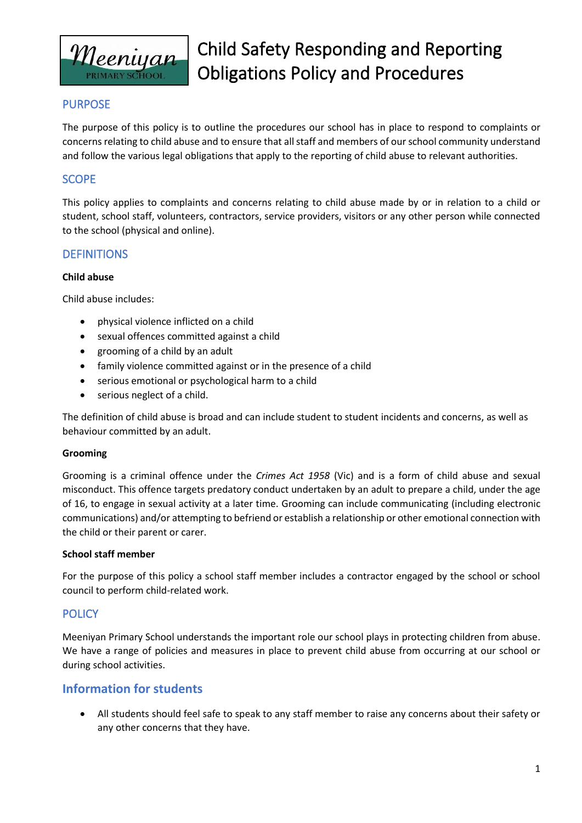

# Child Safety Responding and Reporting Obligations Policy and Procedures

## PURPOSE

The purpose of this policy is to outline the procedures our school has in place to respond to complaints or concerns relating to child abuse and to ensure that all staff and members of our school community understand and follow the various legal obligations that apply to the reporting of child abuse to relevant authorities.

## SCOPE

This policy applies to complaints and concerns relating to child abuse made by or in relation to a child or student, school staff, volunteers, contractors, service providers, visitors or any other person while connected to the school (physical and online).

## **DEFINITIONS**

#### **Child abuse**

Child abuse includes:

- physical violence inflicted on a child
- sexual offences committed against a child
- grooming of a child by an adult
- family violence committed against or in the presence of a child
- serious emotional or psychological harm to a child
- serious neglect of a child.

The definition of child abuse is broad and can include student to student incidents and concerns, as well as behaviour committed by an adult.

#### **Grooming**

Grooming is a criminal offence under the *Crimes Act 1958* (Vic) and is a form of child abuse and sexual misconduct. This offence targets predatory conduct undertaken by an adult to prepare a child, under the age of 16, to engage in sexual activity at a later time. Grooming can include communicating (including electronic communications) and/or attempting to befriend or establish a relationship or other emotional connection with the child or their parent or carer.

#### **School staff member**

For the purpose of this policy a school staff member includes a contractor engaged by the school or school council to perform child-related work.

## **POLICY**

Meeniyan Primary School understands the important role our school plays in protecting children from abuse. We have a range of policies and measures in place to prevent child abuse from occurring at our school or during school activities.

## **Information for students**

• All students should feel safe to speak to any staff member to raise any concerns about their safety or any other concerns that they have.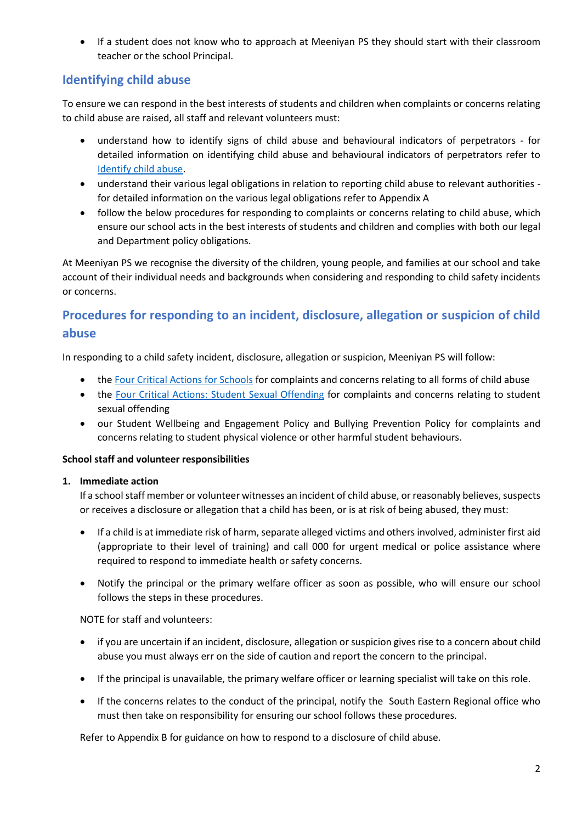• If a student does not know who to approach at Meeniyan PS they should start with their classroom teacher or the school Principal.

## **Identifying child abuse**

To ensure we can respond in the best interests of students and children when complaints or concerns relating to child abuse are raised, all staff and relevant volunteers must:

- understand how to identify signs of child abuse and behavioural indicators of perpetrators for detailed information on identifying child abuse and behavioural indicators of perpetrators refer to [Identify child abuse.](https://www.education.vic.gov.au/school/teachers/health/childprotection/Pages/identify.aspx)
- understand their various legal obligations in relation to reporting child abuse to relevant authorities for detailed information on the various legal obligations refer to Appendix A
- follow the below procedures for responding to complaints or concerns relating to child abuse, which ensure our school acts in the best interests of students and children and complies with both our legal and Department policy obligations.

At Meeniyan PS we recognise the diversity of the children, young people, and families at our school and take account of their individual needs and backgrounds when considering and responding to child safety incidents or concerns.

# **Procedures for responding to an incident, disclosure, allegation or suspicion of child abuse**

In responding to a child safety incident, disclosure, allegation or suspicion, Meeniyan PS will follow:

- the [Four Critical Actions for Schools](https://www.education.vic.gov.au/Documents/about/programs/health/protect/FourCriticalActions_ChildAbuse.pdf) for complaints and concerns relating to all forms of child abuse
- the [Four Critical Actions: Student Sexual Offending](https://www.education.vic.gov.au/school/teachers/health/childprotection/Pages/stusexual.aspx) for complaints and concerns relating to student sexual offending
- our Student Wellbeing and Engagement Policy and Bullying Prevention Policy for complaints and concerns relating to student physical violence or other harmful student behaviours.

## **School staff and volunteer responsibilities**

#### **1. Immediate action**

If a school staff member or volunteer witnesses an incident of child abuse, or reasonably believes, suspects or receives a disclosure or allegation that a child has been, or is at risk of being abused, they must:

- If a child is at immediate risk of harm, separate alleged victims and others involved, administer first aid (appropriate to their level of training) and call 000 for urgent medical or police assistance where required to respond to immediate health or safety concerns.
- Notify the principal or the primary welfare officer as soon as possible, who will ensure our school follows the steps in these procedures.

NOTE for staff and volunteers:

- if you are uncertain if an incident, disclosure, allegation or suspicion gives rise to a concern about child abuse you must always err on the side of caution and report the concern to the principal.
- If the principal is unavailable, the primary welfare officer or learning specialist will take on this role.
- If the concerns relates to the conduct of the principal, notify the South Eastern Regional office who must then take on responsibility for ensuring our school follows these procedures.

Refer to Appendix B for guidance on how to respond to a disclosure of child abuse.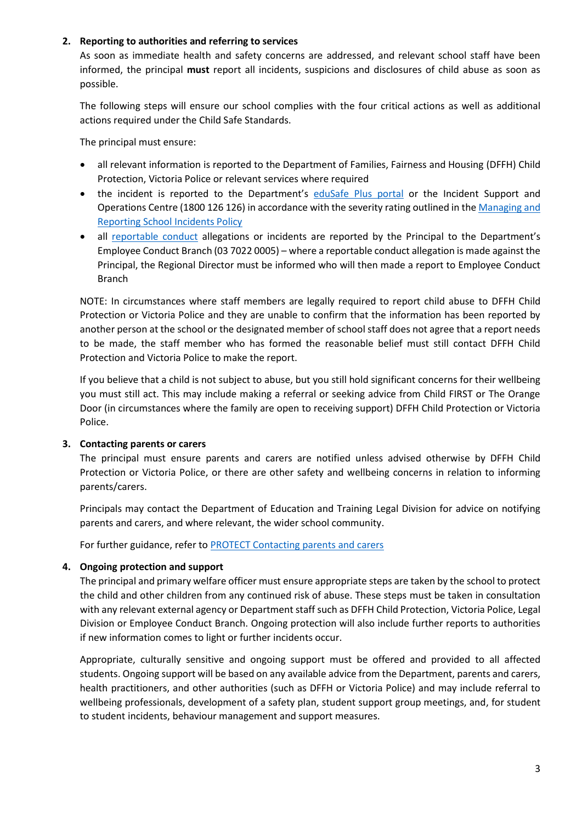#### **2. Reporting to authorities and referring to services**

As soon as immediate health and safety concerns are addressed, and relevant school staff have been informed, the principal **must** report all incidents, suspicions and disclosures of child abuse as soon as possible.

The following steps will ensure our school complies with the four critical actions as well as additional actions required under the Child Safe Standards.

The principal must ensure:

- all relevant information is reported to the Department of Families, Fairness and Housing (DFFH) Child Protection, Victoria Police or relevant services where required
- the incident is reported to the Department's [eduSafe Plus portal](https://services.educationapps.vic.gov.au/edusafeplus) or the Incident Support and Operations Centre (1800 126 126) in accordance with the severity rating outlined in the Managing and [Reporting School Incidents Policy](https://www2.education.vic.gov.au/pal/reporting-and-managing-school-incidents-including-emergencies/policy)
- all [reportable conduct](https://www2.education.vic.gov.au/pal/reportable-conduct-scheme/policy) allegations or incidents are reported by the Principal to the Department's Employee Conduct Branch (03 7022 0005) – where a reportable conduct allegation is made against the Principal, the Regional Director must be informed who will then made a report to Employee Conduct Branch

NOTE: In circumstances where staff members are legally required to report child abuse to DFFH Child Protection or Victoria Police and they are unable to confirm that the information has been reported by another person at the school or the designated member of school staff does not agree that a report needs to be made, the staff member who has formed the reasonable belief must still contact DFFH Child Protection and Victoria Police to make the report.

If you believe that a child is not subject to abuse, but you still hold significant concerns for their wellbeing you must still act. This may include making a referral or seeking advice from Child FIRST or The Orange Door (in circumstances where the family are open to receiving support) DFFH Child Protection or Victoria Police.

#### **3. Contacting parents or carers**

The principal must ensure parents and carers are notified unless advised otherwise by DFFH Child Protection or Victoria Police, or there are other safety and wellbeing concerns in relation to informing parents/carers.

Principals may contact the Department of Education and Training Legal Division for advice on notifying parents and carers, and where relevant, the wider school community.

For further guidance, refer to [PROTECT Contacting parents and carers](https://www.education.vic.gov.au/school/teachers/health/childprotection/Pages/actionthree.aspx)

#### **4. Ongoing protection and support**

The principal and primary welfare officer must ensure appropriate steps are taken by the school to protect the child and other children from any continued risk of abuse. These steps must be taken in consultation with any relevant external agency or Department staff such as DFFH Child Protection, Victoria Police, Legal Division or Employee Conduct Branch. Ongoing protection will also include further reports to authorities if new information comes to light or further incidents occur.

Appropriate, culturally sensitive and ongoing support must be offered and provided to all affected students. Ongoing support will be based on any available advice from the Department, parents and carers, health practitioners, and other authorities (such as DFFH or Victoria Police) and may include referral to wellbeing professionals, development of a safety plan, student support group meetings, and, for student to student incidents, behaviour management and support measures.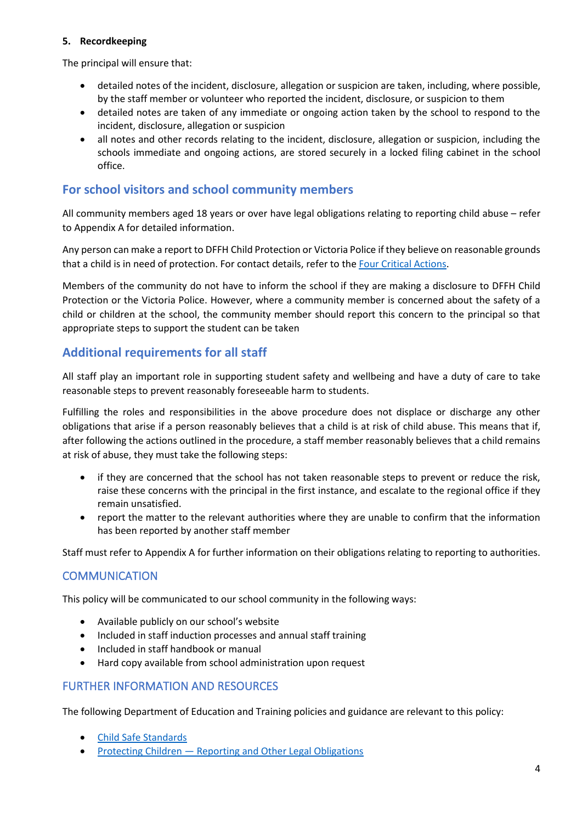#### **5. Recordkeeping**

The principal will ensure that:

- detailed notes of the incident, disclosure, allegation or suspicion are taken, including, where possible, by the staff member or volunteer who reported the incident, disclosure, or suspicion to them
- detailed notes are taken of any immediate or ongoing action taken by the school to respond to the incident, disclosure, allegation or suspicion
- all notes and other records relating to the incident, disclosure, allegation or suspicion, including the schools immediate and ongoing actions, are stored securely in a locked filing cabinet in the school office.

## **For school visitors and school community members**

All community members aged 18 years or over have legal obligations relating to reporting child abuse – refer to Appendix A for detailed information.

Any person can make a report to DFFH Child Protection or Victoria Police if they believe on reasonable grounds that a child is in need of protection. For contact details, refer to the [Four Critical Actions.](https://www.education.vic.gov.au/Documents/about/programs/health/protect/FourCriticalActions_ChildAbuse.pdf)

Members of the community do not have to inform the school if they are making a disclosure to DFFH Child Protection or the Victoria Police. However, where a community member is concerned about the safety of a child or children at the school, the community member should report this concern to the principal so that appropriate steps to support the student can be taken

## **Additional requirements for all staff**

All staff play an important role in supporting student safety and wellbeing and have a duty of care to take reasonable steps to prevent reasonably foreseeable harm to students.

Fulfilling the roles and responsibilities in the above procedure does not displace or discharge any other obligations that arise if a person reasonably believes that a child is at risk of child abuse. This means that if, after following the actions outlined in the procedure, a staff member reasonably believes that a child remains at risk of abuse, they must take the following steps:

- if they are concerned that the school has not taken reasonable steps to prevent or reduce the risk, raise these concerns with the principal in the first instance, and escalate to the regional office if they remain unsatisfied.
- report the matter to the relevant authorities where they are unable to confirm that the information has been reported by another staff member

Staff must refer to Appendix A for further information on their obligations relating to reporting to authorities.

## **COMMUNICATION**

This policy will be communicated to our school community in the following ways:

- Available publicly on our school's website
- Included in staff induction processes and annual staff training
- Included in staff handbook or manual
- Hard copy available from school administration upon request

#### FURTHER INFORMATION AND RESOURCES

The following Department of Education and Training policies and guidance are relevant to this policy:

- [Child Safe Standards](https://www2.education.vic.gov.au/pal/child-safe-standards/policy)
- Protecting Children [Reporting and Other Legal Obligations](https://www2.education.vic.gov.au/pal/protecting-children/policy)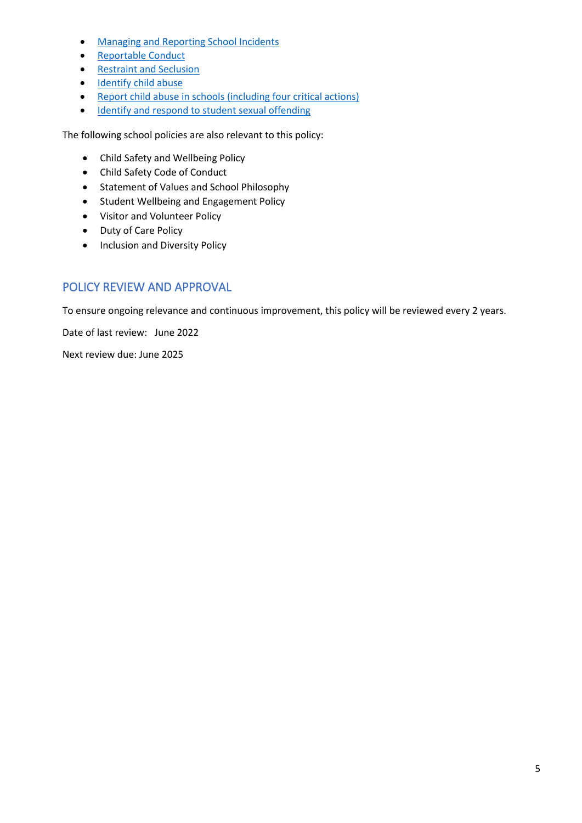- [Managing and Reporting School Incidents](https://www2.education.vic.gov.au/pal/reporting-and-managing-school-incidents-including-emergencies/policy)
- [Reportable Conduct](https://www2.education.vic.gov.au/pal/reportable-conduct-scheme/policy)
- [Restraint and Seclusion](https://www2.education.vic.gov.au/pal/restraint-seclusion/policy)
- [Identify child abuse](https://www.education.vic.gov.au/school/teachers/health/childprotection/Pages/identify.aspx)
- [Report child abuse in schools \(including four critical actions\)](https://www.education.vic.gov.au/school/teachers/health/childprotection/Pages/report.aspx)
- [Identify and respond to student sexual offending](https://www.education.vic.gov.au/school/teachers/health/childprotection/Pages/stusexual.aspx)

The following school policies are also relevant to this policy:

- Child Safety and Wellbeing Policy
- Child Safety Code of Conduct
- Statement of Values and School Philosophy
- Student Wellbeing and Engagement Policy
- Visitor and Volunteer Policy
- Duty of Care Policy
- Inclusion and Diversity Policy

# POLICY REVIEW AND APPROVAL

To ensure ongoing relevance and continuous improvement, this policy will be reviewed every 2 years.

Date of last review: June 2022

Next review due: June 2025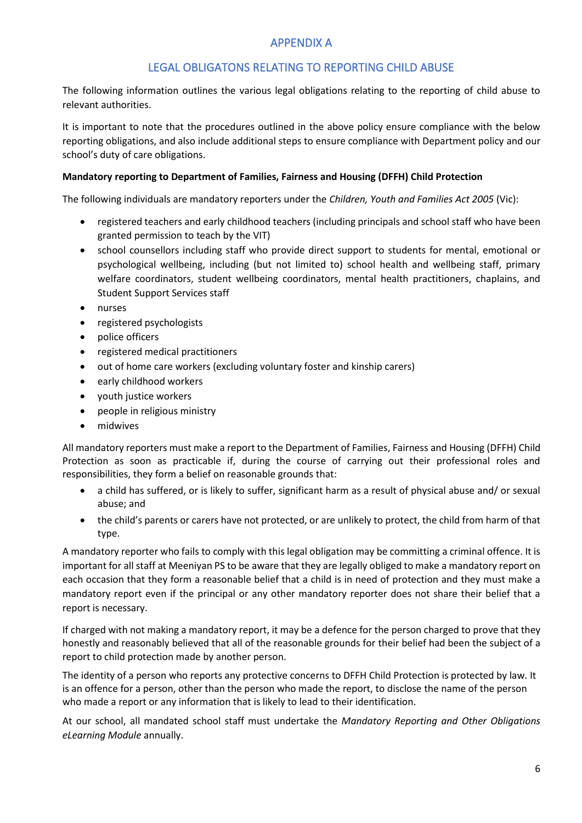## APPENDIX A

## LEGAL OBLIGATONS RELATING TO REPORTING CHILD ABUSE

The following information outlines the various legal obligations relating to the reporting of child abuse to relevant authorities.

It is important to note that the procedures outlined in the above policy ensure compliance with the below reporting obligations, and also include additional steps to ensure compliance with Department policy and our school's duty of care obligations.

#### **Mandatory reporting to Department of Families, Fairness and Housing (DFFH) Child Protection**

The following individuals are mandatory reporters under the *Children, Youth and Families Act 2005* (Vic):

- registered teachers and early childhood teachers (including principals and school staff who have been granted permission to teach by the VIT)
- school counsellors including staff who provide direct support to students for mental, emotional or psychological wellbeing, including (but not limited to) school health and wellbeing staff, primary welfare coordinators, student wellbeing coordinators, mental health practitioners, chaplains, and Student Support Services staff
- nurses
- registered psychologists
- police officers
- registered medical practitioners
- out of home care workers (excluding voluntary foster and kinship carers)
- early childhood workers
- youth justice workers
- people in religious ministry
- midwives

All mandatory reporters must make a report to the Department of Families, Fairness and Housing (DFFH) Child Protection as soon as practicable if, during the course of carrying out their professional roles and responsibilities, they form a belief on reasonable grounds that:

- a child has suffered, or is likely to suffer, significant harm as a result of physical abuse and/ or sexual abuse; and
- the child's parents or carers have not protected, or are unlikely to protect, the child from harm of that type.

A mandatory reporter who fails to comply with this legal obligation may be committing a criminal offence. It is important for all staff at Meeniyan PS to be aware that they are legally obliged to make a mandatory report on each occasion that they form a reasonable belief that a child is in need of protection and they must make a mandatory report even if the principal or any other mandatory reporter does not share their belief that a report is necessary.

If charged with not making a mandatory report, it may be a defence for the person charged to prove that they honestly and reasonably believed that all of the reasonable grounds for their belief had been the subject of a report to child protection made by another person.

The identity of a person who reports any protective concerns to DFFH Child Protection is protected by law. It is an offence for a person, other than the person who made the report, to disclose the name of the person who made a report or any information that is likely to lead to their identification.

At our school, all mandated school staff must undertake the *Mandatory Reporting and Other Obligations eLearning Module* annually.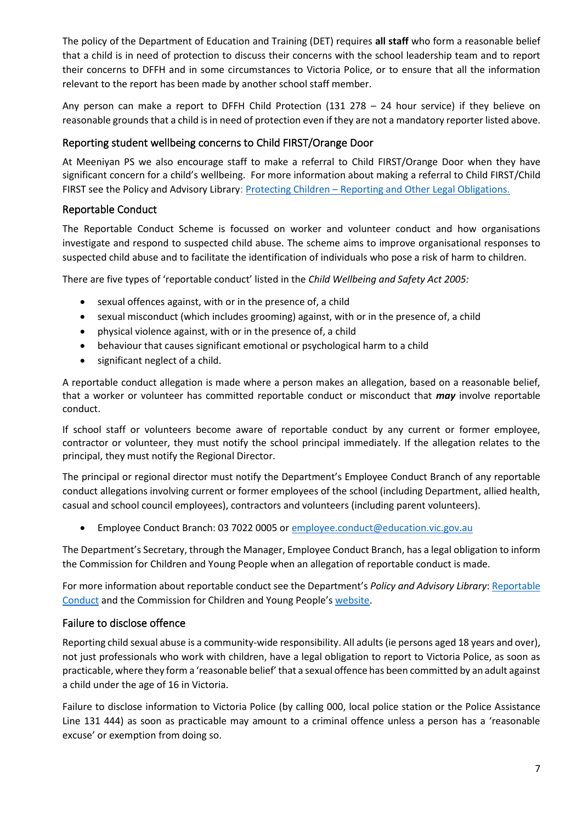The policy of the Department of Education and Training (DET) requires **all staff** who form a reasonable belief that a child is in need of protection to discuss their concerns with the school leadership team and to report their concerns to DFFH and in some circumstances to Victoria Police, or to ensure that all the information relevant to the report has been made by another school staff member.

Any person can make a report to DFFH Child Protection (131 278 – 24 hour service) if they believe on reasonable grounds that a child is in need of protection even if they are not a mandatory reporter listed above.

## Reporting student wellbeing concerns to Child FIRST/Orange Door

At Meeniyan PS we also encourage staff to make a referral to Child FIRST/Orange Door when they have significant concern for a child's wellbeing. For more information about making a referral to Child FIRST/Child FIRST see the Policy and Advisory Library: Protecting Children – [Reporting and Other Legal Obligations](https://www2.education.vic.gov.au/pal/protecting-children/policy).

#### Reportable Conduct

The Reportable Conduct Scheme is focussed on worker and volunteer conduct and how organisations investigate and respond to suspected child abuse. The scheme aims to improve organisational responses to suspected child abuse and to facilitate the identification of individuals who pose a risk of harm to children.

There are five types of 'reportable conduct' listed in the *Child Wellbeing and Safety Act 2005:*

- sexual offences against, with or in the presence of, a child
- sexual misconduct (which includes grooming) against, with or in the presence of, a child
- physical violence against, with or in the presence of, a child
- behaviour that causes significant emotional or psychological harm to a child
- significant neglect of a child.

A reportable conduct allegation is made where a person makes an allegation, based on a reasonable belief, that a worker or volunteer has committed reportable conduct or misconduct that *may* involve reportable conduct.

If school staff or volunteers become aware of reportable conduct by any current or former employee, contractor or volunteer, they must notify the school principal immediately. If the allegation relates to the principal, they must notify the Regional Director.

The principal or regional director must notify the Department's Employee Conduct Branch of any reportable conduct allegations involving current or former employees of the school (including Department, allied health, casual and school council employees), contractors and volunteers (including parent volunteers).

• Employee Conduct Branch: 03 7022 0005 or [employee.conduct@education.vic.gov.au](mailto:employee.conduct@education.vic.gov.au)

The Department's Secretary, through the Manager, Employee Conduct Branch, has a legal obligation to inform the Commission for Children and Young People when an allegation of reportable conduct is made.

For more information about reportable conduct see the Department's *Policy and Advisory Library*[: Reportable](https://www2.education.vic.gov.au/pal/reportable-conduct-scheme/policy)  [Conduct](https://www2.education.vic.gov.au/pal/reportable-conduct-scheme/policy) and the Commission for Children and Young People's [website.](https://ccyp.vic.gov.au/reportable-conduct-scheme/)

## Failure to disclose offence

Reporting child sexual abuse is a community-wide responsibility. All adults (ie persons aged 18 years and over), not just professionals who work with children, have a legal obligation to report to Victoria Police, as soon as practicable, where they form a 'reasonable belief' that a sexual offence has been committed by an adult against a child under the age of 16 in Victoria.

Failure to disclose information to Victoria Police (by calling 000, local police station or the Police Assistance Line 131 444) as soon as practicable may amount to a criminal offence unless a person has a 'reasonable excuse' or exemption from doing so.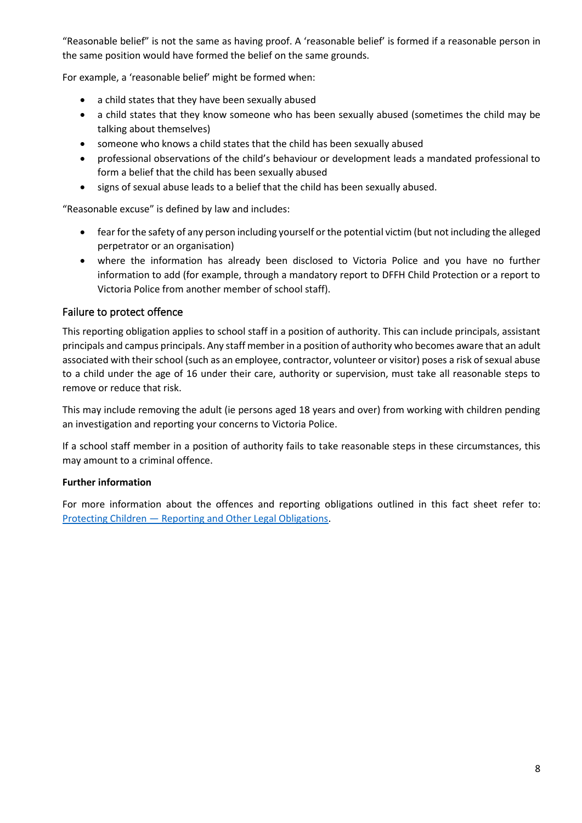"Reasonable belief" is not the same as having proof. A 'reasonable belief' is formed if a reasonable person in the same position would have formed the belief on the same grounds.

For example, a 'reasonable belief' might be formed when:

- a child states that they have been sexually abused
- a child states that they know someone who has been sexually abused (sometimes the child may be talking about themselves)
- someone who knows a child states that the child has been sexually abused
- professional observations of the child's behaviour or development leads a mandated professional to form a belief that the child has been sexually abused
- signs of sexual abuse leads to a belief that the child has been sexually abused.

"Reasonable excuse" is defined by law and includes:

- fear for the safety of any person including yourself or the potential victim (but not including the alleged perpetrator or an organisation)
- where the information has already been disclosed to Victoria Police and you have no further information to add (for example, through a mandatory report to DFFH Child Protection or a report to Victoria Police from another member of school staff).

#### Failure to protect offence

This reporting obligation applies to school staff in a position of authority. This can include principals, assistant principals and campus principals. Any staff member in a position of authority who becomes aware that an adult associated with their school (such as an employee, contractor, volunteer or visitor) poses a risk of sexual abuse to a child under the age of 16 under their care, authority or supervision, must take all reasonable steps to remove or reduce that risk.

This may include removing the adult (ie persons aged 18 years and over) from working with children pending an investigation and reporting your concerns to Victoria Police.

If a school staff member in a position of authority fails to take reasonable steps in these circumstances, this may amount to a criminal offence.

#### **Further information**

For more information about the offences and reporting obligations outlined in this fact sheet refer to: Protecting Children — [Reporting and Other Legal Obligations.](https://www2.education.vic.gov.au/pal/protecting-children/policy)